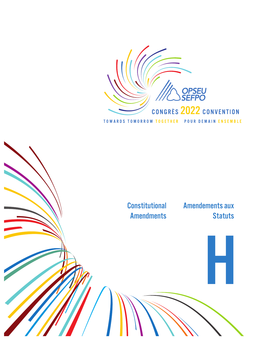

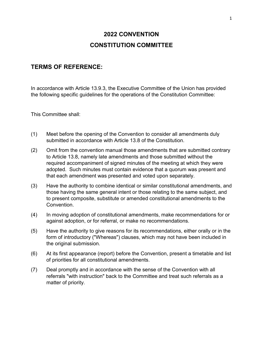# **2022 CONVENTION CONSTITUTION COMMITTEE**

## **TERMS OF REFERENCE:**

In accordance with Article 13.9.3, the Executive Committee of the Union has provided the following specific guidelines for the operations of the Constitution Committee:

This Committee shall:

- (1) Meet before the opening of the Convention to consider all amendments duly submitted in accordance with Article 13.8 of the Constitution.
- (2) Omit from the convention manual those amendments that are submitted contrary to Article 13.8, namely late amendments and those submitted without the required accompaniment of signed minutes of the meeting at which they were adopted. Such minutes must contain evidence that a quorum was present and that each amendment was presented and voted upon separately.
- (3) Have the authority to combine identical or similar constitutional amendments, and those having the same general intent or those relating to the same subject, and to present composite, substitute or amended constitutional amendments to the Convention.
- (4) In moving adoption of constitutional amendments, make recommendations for or against adoption, or for referral, or make no recommendations.
- (5) Have the authority to give reasons for its recommendations, either orally or in the form of introductory ("Whereas") clauses, which may not have been included in the original submission.
- (6) At its first appearance (report) before the Convention, present a timetable and list of priorities for all constitutional amendments.
- (7) Deal promptly and in accordance with the sense of the Convention with all referrals "with instruction" back to the Committee and treat such referrals as a matter of priority.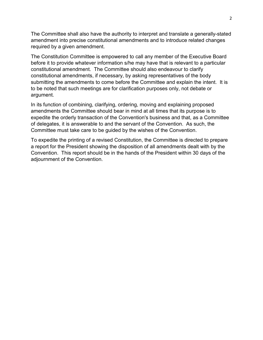The Committee shall also have the authority to interpret and translate a generally-stated amendment into precise constitutional amendments and to introduce related changes required by a given amendment.

The Constitution Committee is empowered to call any member of the Executive Board before it to provide whatever information s/he may have that is relevant to a particular constitutional amendment. The Committee should also endeavour to clarify constitutional amendments, if necessary, by asking representatives of the body submitting the amendments to come before the Committee and explain the intent. It is to be noted that such meetings are for clarification purposes only, not debate or argument.

In its function of combining, clarifying, ordering, moving and explaining proposed amendments the Committee should bear in mind at all times that its purpose is to expedite the orderly transaction of the Convention's business and that, as a Committee of delegates, it is answerable to and the servant of the Convention. As such, the Committee must take care to be guided by the wishes of the Convention.

To expedite the printing of a revised Constitution, the Committee is directed to prepare a report for the President showing the disposition of all amendments dealt with by the Convention. This report should be in the hands of the President within 30 days of the adjournment of the Convention.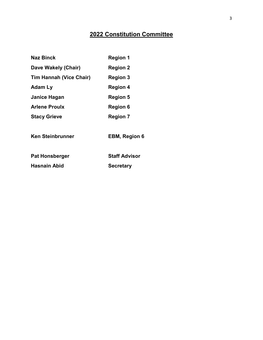# **2022 Constitution Committee**

| <b>Naz Binck</b>               | <b>Region 1</b>      |
|--------------------------------|----------------------|
| Dave Wakely (Chair)            | <b>Region 2</b>      |
| <b>Tim Hannah (Vice Chair)</b> | <b>Region 3</b>      |
| Adam Ly                        | <b>Region 4</b>      |
| Janice Hagan                   | <b>Region 5</b>      |
| <b>Arlene Proulx</b>           | <b>Region 6</b>      |
| <b>Stacy Grieve</b>            | <b>Region 7</b>      |
| <b>Ken Steinbrunner</b>        | <b>EBM, Region 6</b> |
| <b>Pat Honsberger</b>          | <b>Staff Advisor</b> |
| Hasnain Abid                   | <b>Secretary</b>     |
|                                |                      |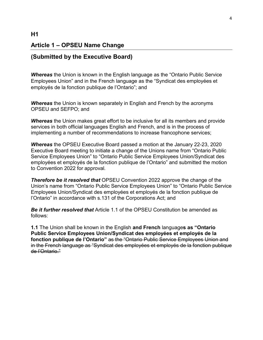# **Article 1 – OPSEU Name Change**

## **(Submitted by the Executive Board)**

*Whereas* the Union is known in the English language as the "Ontario Public Service Employees Union" and in the French language as the "Syndicat des employées et employés de la fonction publique de l'Ontario"; and

**Whereas** the Union is known separately in English and French by the acronyms OPSEU and SEFPO; and

*Whereas* the Union makes great effort to be inclusive for all its members and provide services in both official languages English and French, and is in the process of implementing a number of recommendations to increase francophone services;

*Whereas* the OPSEU Executive Board passed a motion at the January 22-23, 2020 Executive Board meeting to initiate a change of the Unions name from "Ontario Public Service Employees Union" to "Ontario Public Service Employees Union/Syndicat des employées et employés de la fonction publique de l'Ontario" and submitted the motion to Convention 2022 for approval*.*

**Therefore be it resolved that OPSEU Convention 2022 approve the change of the** Union's name from "Ontario Public Service Employees Union" to "Ontario Public Service Employees Union/Syndicat des employées et employés de la fonction publique de l'Ontario" in accordance with s.131 of the Corporations Act; and

*Be it further resolved that* Article 1.1 of the OPSEU Constitution be amended as follows:

**1.1** The Union shall be known in the English **and French** language**s as "Ontario Public Service Employees Union/Syndicat des employées et employés de la fonction publique de l'Ontario"** as the "Ontario Public Service Employees Union and in the French language as "Syndicat des employées et employés de la fonction publique de l'Ontario."

### **H1**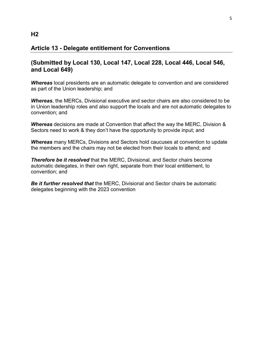## **Article 13 - Delegate entitlement for Conventions**

## **(Submitted by Local 130, Local 147, Local 228, Local 446, Local 546, and Local 649)**

*Whereas* local presidents are an automatic delegate to convention and are considered as part of the Union leadership; and

*Whereas*, the MERCs, Divisional executive and sector chairs are also considered to be in Union leadership roles and also support the locals and are not automatic delegates to convention; and

*Whereas* decisions are made at Convention that affect the way the MERC, Division & Sectors need to work & they don't have the opportunity to provide input; and

*Whereas* many MERCs, Divisions and Sectors hold caucuses at convention to update the members and the chairs may not be elected from their locals to attend; and

*Therefore be it resolved* that the MERC, Divisional, and Sector chairs become automatic delegates, in their own right, separate from their local entitlement, to convention; and

*Be it further resolved that* the MERC, Divisional and Sector chairs be automatic delegates beginning with the 2023 convention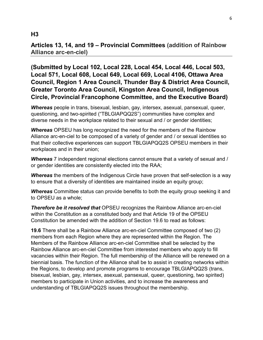## **H3**

## **Articles 13, 14, and 19 – Provincial Committees (addition of Rainbow Alliance arc-en-ciel)**

**(Submitted by Local 102, Local 228, Local 454, Local 446, Local 503, Local 571, Local 608, Local 649, Local 669, Local 4106, Ottawa Area Council, Region 1 Area Council, Thunder Bay & District Area Council, Greater Toronto Area Council, Kingston Area Council, Indigenous Circle, Provincial Francophone Committee, and the Executive Board)**

*Whereas* people in trans, bisexual, lesbian, gay, intersex, asexual, pansexual, queer, questioning, and two-spirited ("TBLGIAPQQ2S") communities have complex and diverse needs in the workplace related to their sexual and / or gender identities;

*Whereas* OPSEU has long recognized the need for the members of the Rainbow Alliance arc-en-ciel to be composed of a variety of gender and / or sexual identities so that their collective experiences can support TBLGIAPQQ2S OPSEU members in their workplaces and in their union;

*Whereas* 7 independent regional elections cannot ensure that a variety of sexual and / or gender identities are consistently elected into the RAA;

*Whereas* the members of the Indigenous Circle have proven that self-selection is a way to ensure that a diversity of identities are maintained inside an equity group;

*Whereas* Committee status can provide benefits to both the equity group seeking it and to OPSEU as a whole;

*Therefore be it resolved that* OPSEU recognizes the Rainbow Alliance arc-en-ciel within the Constitution as a constituted body and that Article 19 of the OPSEU Constitution be amended with the addition of Section 19.6 to read as follows:

**19.6** There shall be a Rainbow Alliance arc-en-ciel Committee composed of two (2) members from each Region where they are represented within the Region. The Members of the Rainbow Alliance arc-en-ciel Committee shall be selected by the Rainbow Alliance arc-en-ciel Committee from interested members who apply to fill vacancies within their Region. The full membership of the Alliance will be renewed on a biennial basis. The function of the Alliance shall be to assist in creating networks within the Regions, to develop and promote programs to encourage TBLGIAPQQ2S (trans, bisexual, lesbian, gay, intersex, asexual, pansexual, queer, questioning, two spirited) members to participate in Union activities, and to increase the awareness and understanding of TBLGIAPQQ2S issues throughout the membership.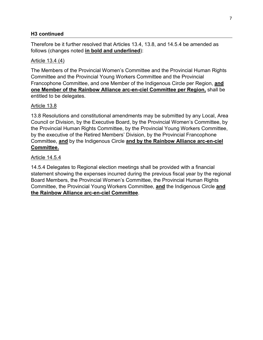## **H3 continued**

Therefore be it further resolved that Articles 13.4, 13.8, and 14.5.4 be amended as follows (changes noted **in bold and underlined**):

### Article 13.4 (4)

The Members of the Provincial Women's Committee and the Provincial Human Rights Committee and the Provincial Young Workers Committee and the Provincial Francophone Committee, and one Member of the Indigenous Circle per Region, **and one Member of the Rainbow Alliance arc-en-ciel Committee per Region,** shall be entitled to be delegates.

## Article 13.8

13.8 Resolutions and constitutional amendments may be submitted by any Local, Area Council or Division, by the Executive Board, by the Provincial Women's Committee, by the Provincial Human Rights Committee, by the Provincial Young Workers Committee, by the executive of the Retired Members' Division, by the Provincial Francophone Committee, **and** by the Indigenous Circle **and by the Rainbow Alliance arc-en-ciel Committee.**

### Article 14.5.4

14.5.4 Delegates to Regional election meetings shall be provided with a financial statement showing the expenses incurred during the previous fiscal year by the regional Board Members, the Provincial Women's Committee, the Provincial Human Rights Committee, the Provincial Young Workers Committee, **and** the Indigenous Circle **and the Rainbow Alliance arc-en-ciel Committee**.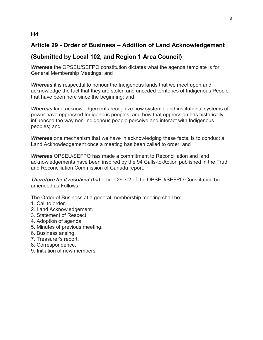# **Article 29 - Order of Business – Addition of Land Acknowledgement**

# **(Submitted by Local 102, and Region 1 Area Council)**

*Whereas* the OPSEU/SEFPO constitution dictates what the agenda template is for General Membership Meetings; and

*Whereas* it is respectful to honour the Indigenous lands that we meet upon and acknowledge the fact that they are stolen and unceded territories of Indigenous People that have been here since the beginning; and

*Whereas* land acknowledgements recognize how systemic and institutional systems of power have oppressed Indigenous peoples, and how that oppression has historically influenced the way non-Indigenous people perceive and interact with Indigenous peoples; and

*Whereas* one mechanism that we have in acknowledging these facts, is to conduct a Land Acknowledgement once a meeting has been called to order; and

*Whereas* OPSEU/SEFPO has made a commitment to Reconciliation and land acknowledgements have been inspired by the 94 Calls-to-Action published in the Truth and Reconciliation Commission of Canada report,

*Therefore be it resolved that* article 29.7.2 of the OPSEU/SEFPO Constitution be amended as Follows:

The Order of Business at a general membership meeting shall be:

- 1. Call to order.
- 2. Land Acknowledgement.
- 3. Statement of Respect.
- 4. Adoption of agenda.
- 5. Minutes of previous meeting.
- 6. Business arising.
- 7. Treasurer's report.
- 8. Correspondence.
- 9. Initiation of new members.

## **H4**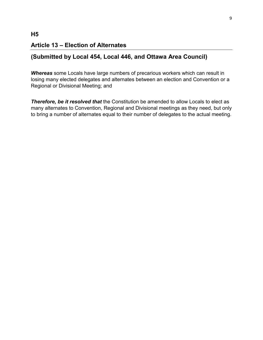# **Article 13 – Election of Alternates**

## **(Submitted by Local 454, Local 446, and Ottawa Area Council)**

*Whereas* some Locals have large numbers of precarious workers which can result in losing many elected delegates and alternates between an election and Convention or a Regional or Divisional Meeting; and

*Therefore, be it resolved that* the Constitution be amended to allow Locals to elect as many alternates to Convention, Regional and Divisional meetings as they need, but only to bring a number of alternates equal to their number of delegates to the actual meeting.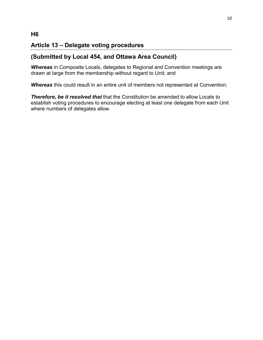# **Article 13 – Delegate voting procedures**

# **(Submitted by Local 454, and Ottawa Area Council)**

*Whereas* in Composite Locals, delegates to Regional and Convention meetings are drawn at large from the membership without regard to Unit; and

*Whereas* this could result in an entire unit of members not represented at Convention;

*Therefore, be it resolved that* that the Constitution be amended to allow Locals to establish voting procedures to encourage electing at least one delegate from each Unit where numbers of delegates allow.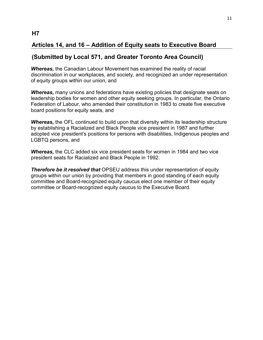# **Articles 14, and 16 – Addition of Equity seats to Executive Board**

# **(Submitted by Local 571, and Greater Toronto Area Council)**

*Whereas,* the Canadian Labour Movement has examined the reality of racial discrimination in our workplaces, and society, and recognized an under representation of equity groups within our union, and

*Whereas,* many unions and federations have existing policies that designate seats on leadership bodies for women and other equity seeking groups. In particular, the Ontario Federation of Labour, who amended their constitution in 1983 to create five executive board positions for equity seats, and

*Whereas,* the OFL continued to build upon that diversity within its leadership structure by establishing a Racialized and Black People vice president in 1987 and further adopted vice president's positions for persons with disabilities, Indigenous peoples and LGBTQ persons, and

*Whereas,* the CLC added six vice president seats for women in 1984 and two vice president seats for Racialized and Black People in 1992.

*Therefore be it resolved that* OPSEU address this under representation of equity groups within our union by providing that members in good standing of each equity committee and Board-recognized equity caucus elect one member of their equity committee or Board-recognized equity caucus to the Executive Board.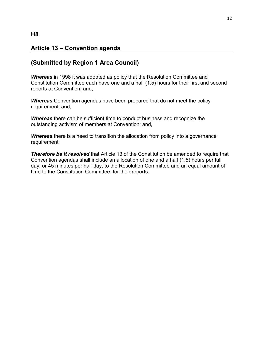# **Article 13 – Convention agenda**

## **(Submitted by Region 1 Area Council)**

*Whereas* in 1998 it was adopted as policy that the Resolution Committee and Constitution Committee each have one and a half (1.5) hours for their first and second reports at Convention; and,

*Whereas* Convention agendas have been prepared that do not meet the policy requirement; and,

*Whereas* there can be sufficient time to conduct business and recognize the outstanding activism of members at Convention; and,

**Whereas** there is a need to transition the allocation from policy into a governance requirement;

**Therefore be it resolved** that Article 13 of the Constitution be amended to require that Convention agendas shall include an allocation of one and a half (1.5) hours per full day, or 45 minutes per half day, to the Resolution Committee and an equal amount of time to the Constitution Committee, for their reports.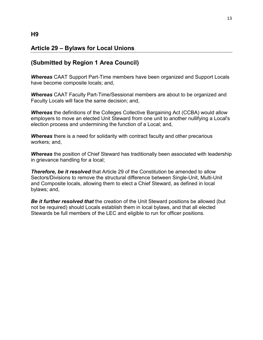# **Article 29 – Bylaws for Local Unions**

## **(Submitted by Region 1 Area Council)**

*Whereas* CAAT Support Part-Time members have been organized and Support Locals have become composite locals; and,

*Whereas* CAAT Faculty Part-Time/Sessional members are about to be organized and Faculty Locals will face the same decision; and,

*Whereas* the definitions of the Colleges Collective Bargaining Act (CCBA) would allow employers to move an elected Unit Steward from one unit to another nullifying a Local's election process and undermining the function of a Local; and,

*Whereas* there is a need for solidarity with contract faculty and other precarious workers; and,

*Whereas* the position of Chief Steward has traditionally been associated with leadership in grievance handling for a local;

**Therefore, be it resolved** that Article 29 of the Constitution be amended to allow Sectors/Divisions to remove the structural difference between Single-Unit, Multi-Unit and Composite locals, allowing them to elect a Chief Steward, as defined in local bylaws; and,

*Be it further resolved that* the creation of the Unit Steward positions be allowed (but not be required) should Locals establish them in local bylaws, and that all elected Stewards be full members of the LEC and eligible to run for officer positions.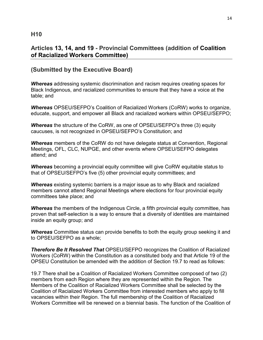# **Articles 13, 14, and 19 - Provincial Committees (addition of Coalition of Racialized Workers Committee)**

# **(Submitted by the Executive Board)**

*Whereas* addressing systemic discrimination and racism requires creating spaces for Black Indigenous, and racialized communities to ensure that they have a voice at the table; and

*Whereas* OPSEU/SEFPO's Coalition of Racialized Workers (CoRW) works to organize, educate, support, and empower all Black and racialized workers within OPSEU/SEFPO;

*Whereas* the structure of the CoRW, as one of OPSEU/SEFPO's three (3) equity caucuses, is not recognized in OPSEU/SEFPO's Constitution; and

*Whereas* members of the CoRW do not have delegate status at Convention, Regional Meetings, OFL, CLC, NUPGE, and other events where OPSEU/SEFPO delegates attend; and

*Whereas* becoming a provincial equity committee will give CoRW equitable status to that of OPSEU/SEFPO's five (5) other provincial equity committees; and

*Whereas* existing systemic barriers is a major issue as to why Black and racialized members cannot attend Regional Meetings where elections for four provincial equity committees take place; and

**Whereas** the members of the Indigenous Circle, a fifth provincial equity committee, has proven that self-selection is a way to ensure that a diversity of identities are maintained inside an equity group; and

*Whereas* Committee status can provide benefits to both the equity group seeking it and to OPSEU/SEFPO as a whole;

*Therefore Be It Resolved That* OPSEU/SEFPO recognizes the Coalition of Racialized Workers (CoRW) within the Constitution as a constituted body and that Article 19 of the OPSEU Constitution be amended with the addition of Section 19.7 to read as follows:

19.7 There shall be a Coalition of Racialized Workers Committee composed of two (2) members from each Region where they are represented within the Region. The Members of the Coalition of Racialized Workers Committee shall be selected by the Coalition of Racialized Workers Committee from interested members who apply to fill vacancies within their Region. The full membership of the Coalition of Racialized Workers Committee will be renewed on a biennial basis. The function of the Coalition of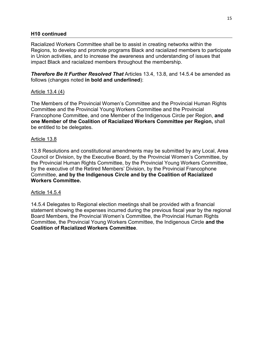### **H10 continued**

Racialized Workers Committee shall be to assist in creating networks within the Regions, to develop and promote programs Black and racialized members to participate in Union activities, and to increase the awareness and understanding of issues that impact Black and racialized members throughout the membership.

*Therefore Be It Further Resolved That* Articles 13.4, 13.8, and 14.5.4 be amended as follows (changes noted **in bold and underlined**):

## Article 13.4 (4)

The Members of the Provincial Women's Committee and the Provincial Human Rights Committee and the Provincial Young Workers Committee and the Provincial Francophone Committee, and one Member of the Indigenous Circle per Region, **and one Member of the Coalition of Racialized Workers Committee per Region,** shall be entitled to be delegates.

### Article 13.8

13.8 Resolutions and constitutional amendments may be submitted by any Local, Area Council or Division, by the Executive Board, by the Provincial Women's Committee, by the Provincial Human Rights Committee, by the Provincial Young Workers Committee, by the executive of the Retired Members' Division, by the Provincial Francophone Committee, **and by the Indigenous Circle and by the Coalition of Racialized Workers Committee.** 

### Article 14.5.4

14.5.4 Delegates to Regional election meetings shall be provided with a financial statement showing the expenses incurred during the previous fiscal year by the regional Board Members, the Provincial Women's Committee, the Provincial Human Rights Committee, the Provincial Young Workers Committee, the Indigenous Circle **and the Coalition of Racialized Workers Committee**.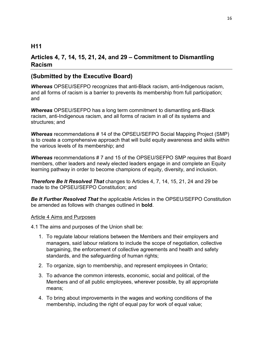## **H11**

# **Articles 4, 7, 14, 15, 21, 24, and 29 – Commitment to Dismantling Racism**

## **(Submitted by the Executive Board)**

*Whereas* OPSEU/SEFPO recognizes that anti-Black racism, anti-Indigenous racism, and all forms of racism is a barrier to prevents its membership from full participation; and

*Whereas* OPSEU/SEFPO has a long term commitment to dismantling anti-Black racism, anti-Indigenous racism, and all forms of racism in all of its systems and structures; and

*Whereas* recommendations # 14 of the OPSEU/SEFPO Social Mapping Project (SMP) is to create a comprehensive approach that will build equity awareness and skills within the various levels of its membership; and

*Whereas* recommendations # 7 and 15 of the OPSEU/SEFPO SMP requires that Board members, other leaders and newly elected leaders engage in and complete an Equity learning pathway in order to become champions of equity, diversity, and inclusion.

*Therefore Be It Resolved That* changes to Articles 4, 7, 14, 15, 21, 24 and 29 be made to the OPSEU/SEFPO Constitution; and

*Be It Further Resolved That* the applicable Articles in the OPSEU/SEFPO Constitution be amended as follows with changes outlined in **bold**.

#### Article 4 Aims and Purposes

4.1 The aims and purposes of the Union shall be:

- 1. To regulate labour relations between the Members and their employers and managers, said labour relations to include the scope of negotiation, collective bargaining, the enforcement of collective agreements and health and safety standards, and the safeguarding of human rights;
- 2. To organize, sign to membership, and represent employees in Ontario;
- 3. To advance the common interests, economic, social and political, of the Members and of all public employees, wherever possible, by all appropriate means;
- 4. To bring about improvements in the wages and working conditions of the membership, including the right of equal pay for work of equal value;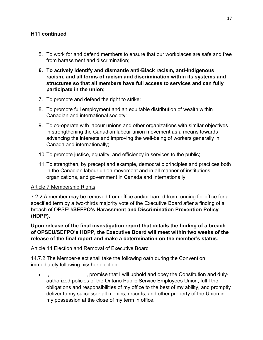- 5. To work for and defend members to ensure that our workplaces are safe and free from harassment and discrimination;
- **6. To actively identify and dismantle anti-Black racism, anti-Indigenous racism, and all forms of racism and discrimination within its systems and structures so that all members have full access to services and can fully participate in the union;**
- 7. To promote and defend the right to strike;
- 8. To promote full employment and an equitable distribution of wealth within Canadian and international society;
- 9. To co-operate with labour unions and other organizations with similar objectives in strengthening the Canadian labour union movement as a means towards advancing the interests and improving the well-being of workers generally in Canada and internationally;
- 10.To promote justice, equality, and efficiency in services to the public;
- 11.To strengthen, by precept and example, democratic principles and practices both in the Canadian labour union movement and in all manner of institutions, organizations, and government in Canada and internationally.

### Article 7 Membership Rights

7.2.2 A member may be removed from office and/or barred from running for office for a specified term by a two-thirds majority vote of the Executive Board after a finding of a breach of OPSEU/**SEFPO's Harassment and Discrimination Prevention Policy (HDPP).** 

**Upon release of the final investigation report that details the finding of a breach of OPSEU/SEFPO's HDPP, the Executive Board will meet within two weeks of the release of the final report and make a determination on the member's status.**

### Article 14 Election and Removal of Executive Board

14.7.2 The Member-elect shall take the following oath during the Convention immediately following his/ her election:

• I, spromise that I will uphold and obey the Constitution and dulyauthorized policies of the Ontario Public Service Employees Union, fulfil the obligations and responsibilities of my office to the best of my ability, and promptly deliver to my successor all monies, records, and other property of the Union in my possession at the close of my term in office.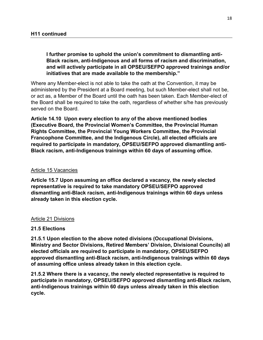**I further promise to uphold the union's commitment to dismantling anti-Black racism, anti-Indigenous and all forms of racism and discrimination, and will actively participate in all OPSEU/SEFPO approved trainings and/or initiatives that are made available to the membership."**

Where any Member-elect is not able to take the oath at the Convention, it may be administered by the President at a Board meeting, but such Member-elect shall not be, or act as, a Member of the Board until the oath has been taken. Each Member-elect of the Board shall be required to take the oath, regardless of whether s/he has previously served on the Board.

**Article 14.10 Upon every election to any of the above mentioned bodies (Executive Board, the Provincial Women's Committee, the Provincial Human Rights Committee, the Provincial Young Workers Committee, the Provincial Francophone Committee, and the Indigenous Circle), all elected officials are required to participate in mandatory, OPSEU/SEFPO approved dismantling anti-Black racism, anti-Indigenous trainings within 60 days of assuming office.**

#### Article 15 Vacancies

**Article 15.7 Upon assuming an office declared a vacancy, the newly elected representative is required to take mandatory OPSEU/SEFPO approved dismantling anti-Black racism, anti-Indigenous trainings within 60 days unless already taken in this election cycle.**

#### Article 21 Divisions

### **21.5 Elections**

**21.5.1 Upon election to the above noted divisions (Occupational Divisions, Ministry and Sector Divisions, Retired Members' Division, Divisional Councils) all elected officials are required to participate in mandatory, OPSEU/SEFPO approved dismantling anti-Black racism, anti-Indigenous trainings within 60 days of assuming office unless already taken in this election cycle.**

**21.5.2 Where there is a vacancy, the newly elected representative is required to participate in mandatory, OPSEU/SEFPO approved dismantling anti-Black racism, anti-Indigenous trainings within 60 days unless already taken in this election cycle.**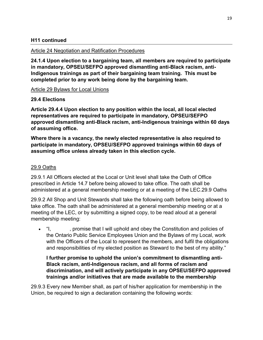## **H11 continued**

### Article 24 Negotiation and Ratification Procedures

**24.1.4 Upon election to a bargaining team, all members are required to participate in mandatory, OPSEU/SEFPO approved dismantling anti-Black racism, anti-Indigenous trainings as part of their bargaining team training. This must be completed prior to any work being done by the bargaining team.** 

### Article 29 Bylaws for Local Unions

### **29.4 Elections**

**Article 29.4.4 Upon election to any position within the local, all local elected representatives are required to participate in mandatory, OPSEU/SEFPO approved dismantling anti-Black racism, anti-Indigenous trainings within 60 days of assuming office.**

**Where there is a vacancy, the newly elected representative is also required to participate in mandatory, OPSEU/SEFPO approved trainings within 60 days of assuming office unless already taken in this election cycle.**

### 29.9 Oaths

29.9.1 All Officers elected at the Local or Unit level shall take the Oath of Office prescribed in Article 14.7 before being allowed to take office. The oath shall be administered at a general membership meeting or at a meeting of the LEC.29.9 Oaths

29.9.2 All Shop and Unit Stewards shall take the following oath before being allowed to take office. The oath shall be administered at a general membership meeting or at a meeting of the LEC, or by submitting a signed copy, to be read aloud at a general membership meeting:

• "I, promise that I will uphold and obey the Constitution and policies of the Ontario Public Service Employees Union and the Bylaws of my Local, work with the Officers of the Local to represent the members, and fulfil the obligations and responsibilities of my elected position as Steward to the best of my ability."

## **I further promise to uphold the union's commitment to dismantling anti-Black racism, anti-Indigenous racism, and all forms of racism and discrimination, and will actively participate in any OPSEU/SEFPO approved trainings and/or initiatives that are made available to the membership**

29.9.3 Every new Member shall, as part of his/her application for membership in the Union, be required to sign a declaration containing the following words: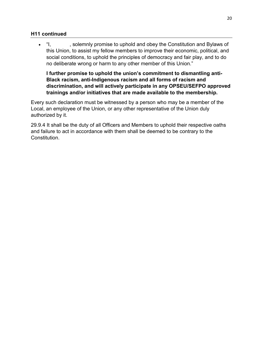## **H11 continued**

• "I, solemnly promise to uphold and obey the Constitution and Bylaws of this Union, to assist my fellow members to improve their economic, political, and social conditions, to uphold the principles of democracy and fair play, and to do no deliberate wrong or harm to any other member of this Union."

**I further promise to uphold the union's commitment to dismantling anti-Black racism, anti-Indigenous racism and all forms of racism and discrimination, and will actively participate in any OPSEU/SEFPO approved trainings and/or initiatives that are made available to the membership.**

Every such declaration must be witnessed by a person who may be a member of the Local, an employee of the Union, or any other representative of the Union duly authorized by it.

29.9.4 It shall be the duty of all Officers and Members to uphold their respective oaths and failure to act in accordance with them shall be deemed to be contrary to the **Constitution**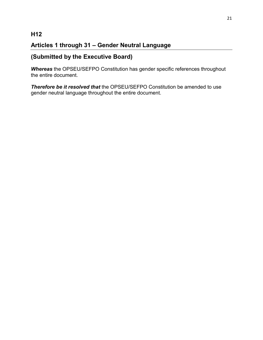# **H12**

# **Articles 1 through 31 – Gender Neutral Language**

# **(Submitted by the Executive Board)**

*Whereas* the OPSEU/SEFPO Constitution has gender specific references throughout the entire document.

*Therefore be it resolved that* the OPSEU/SEFPO Constitution be amended to use gender neutral language throughout the entire document.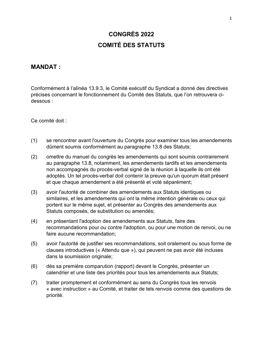# **CONGRÈS 2022 COMITÉ DES STATUTS**

## **MANDAT :**

Conformément à l'aIinéa 13.9.3, le Comité exécutif du Syndicat a donné des directives précises concernant le fonctionnement du Comité des Statuts, que l'on retrouvera cidessous :

Ce comité doit :

- (1) se rencontrer avant l'ouverture du Congrès pour examiner tous les amendements dûment soumis conformément au paragraphe 13.8 des Statuts;
- (2) omettre du manuel du congrès les amendements qui sont soumis contrairement au paragraphe 13.8, notamment, les amendements tardifs et les amendements non accompagnés du procès-verbal signé de la réunion à laquelle ils ont été adoptés. Un tel procès-verbal doit contenir la preuve qu'un quorum était présent et que chaque amendement a été présenté et voté séparément;
- (3) avoir l'autorité de combiner des amendements aux Statuts identiques ou similaires, et les amendements qui ont la même intention générale ou ceux qui portent sur le même sujet, et présenter au Congrès des amendements aux Statuts composés, de substitution ou amendés;
- (4) en présentant l'adoption des amendements aux Statuts, faire des recommandations pour ou contre l'adoption, ou pour une motion de renvoi, ou ne faire aucune recommandation;
- (5) avoir l'autorité de justifier ses recommandations, soit oralement ou sous forme de clauses introductives (« Attendu que »), qui peuvent ne pas avoir été incluses dans la soumission originale;
- (6) dès sa première comparution (rapport) devant le Congrès, présenter un calendrier et une liste des priorités pour tous les amendements aux Statuts;
- (7) traiter promptement et conformément au sens du Congrès tous les renvois « avec instruction » au Comité, et traiter de tels renvois comme des questions de priorité.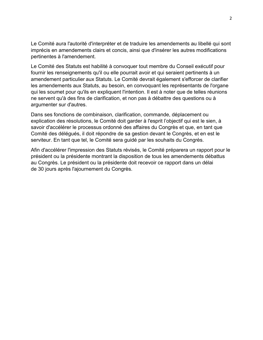Le Comité aura l'autorité d'interpréter et de traduire les amendements au libellé qui sont imprécis en amendements clairs et concis, ainsi que d'insérer les autres modifications pertinentes à l'amendement.

Le Comité des Statuts est habilité à convoquer tout membre du Conseil exécutif pour fournir les renseignements qu'il ou elle pourrait avoir et qui seraient pertinents à un amendement particulier aux Statuts. Le Comité devrait également s'efforcer de clarifier les amendements aux Statuts, au besoin, en convoquant les représentants de l'organe qui les soumet pour qu'ils en expliquent l'intention. Il est à noter que de telles réunions ne servent qu'à des fins de clarification, et non pas à débattre des questions ou à argumenter sur d'autres.

Dans ses fonctions de combinaison, clarification, commande, déplacement ou explication des résolutions, le Comité doit garder à l'esprit l'objectif qui est le sien, à savoir d'accélérer le processus ordonné des affaires du Congrès et que, en tant que Comité des délégués, il doit répondre de sa gestion devant le Congrès, et en est le serviteur. En tant que tel, le Comité sera guidé par les souhaits du Congrès.

Afin d'accélérer l'impression des Statuts révisés, le Comité préparera un rapport pour le président ou la présidente montrant la disposition de tous les amendements débattus au Congrès. Le président ou la présidente doit recevoir ce rapport dans un délai de 30 jours après l'ajournement du Congrès.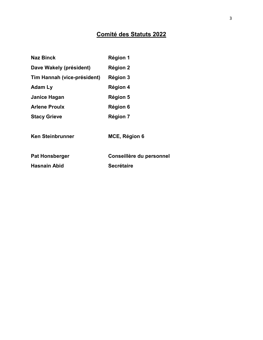# **Comité des Statuts 2022**

| <b>Naz Binck</b>            | Région 1                 |
|-----------------------------|--------------------------|
| Dave Wakely (président)     | Région 2                 |
| Tim Hannah (vice-président) | <b>Région 3</b>          |
| Adam Ly                     | <b>Région 4</b>          |
| Janice Hagan                | Région 5                 |
| <b>Arlene Proulx</b>        | Région 6                 |
| <b>Stacy Grieve</b>         | <b>Région 7</b>          |
| Ken Steinbrunner            | MCE, Région 6            |
| <b>Pat Honsberger</b>       | Conseillère du personnel |
| <b>Hasnain Abid</b>         | <b>Secrétaire</b>        |
|                             |                          |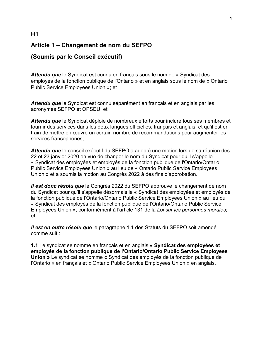# **Article 1 – Changement de nom du SEFPO**

## **(Soumis par le Conseil exécutif)**

*Attendu que* le Syndicat est connu en français sous le nom de « Syndicat des employés de la fonction publique de l'Ontario » et en anglais sous le nom de « Ontario Public Service Employees Union »; et

*Attendu que* le Syndicat est connu séparément en français et en anglais par les acronymes SEFPO et OPSEU; et

*Attendu que* le Syndicat déploie de nombreux efforts pour inclure tous ses membres et fournir des services dans les deux langues officielles, français et anglais, et qu'il est en train de mettre en œuvre un certain nombre de recommandations pour augmenter les services francophones;

*Attendu que* le conseil exécutif du SEFPO a adopté une motion lors de sa réunion des 22 et 23 janvier 2020 en vue de changer le nom du Syndicat pour qu'il s'appelle « Syndicat des employées et employés de la fonction publique de l'Ontario/Ontario Public Service Employees Union » au lieu de « Ontario Public Service Employees Union » et a soumis la motion au Congrès 2022 à des fins d'approbation.

*Il est donc résolu que* le Congrès 2022 du SEFPO approuve le changement de nom du Syndicat pour qu'il s'appelle désormais le « Syndicat des employées et employés de la fonction publique de l'Ontario/Ontario Public Service Employees Union » au lieu du « Syndicat des employés de la fonction publique de l'Ontario/Ontario Public Service Employees Union », conformément à l'article 131 de la *Loi sur les personnes morales*; et

*Il est en outre résolu que* le paragraphe 1.1 des Statuts du SEFPO soit amendé comme suit :

**1.1** Le syndicat se nomme en français et en anglais **« Syndicat des employées et employés de la fonction publique de l'Ontario/Ontario Public Service Employees Union »** Le syndicat se nomme « Syndicat des employés de la fonction publique de l'Ontario » en français et « Ontario Public Service Employees Union » en anglais.

## **H1**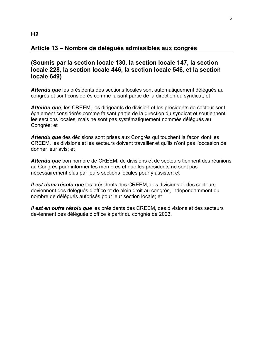## **Article 13 – Nombre de délégués admissibles aux congrès**

## **(Soumis par la section locale 130, la section locale 147, la section locale 228, la section locale 446, la section locale 546, et la section locale 649)**

*Attendu que* les présidents des sections locales sont automatiquement délégués au congrès et sont considérés comme faisant partie de la direction du syndicat; et

*Attendu que*, les CREEM, les dirigeants de division et les présidents de secteur sont également considérés comme faisant partie de la direction du syndicat et soutiennent les sections locales, mais ne sont pas systématiquement nommés délégués au Congrès; et

*Attendu que* des décisions sont prises aux Congrès qui touchent la façon dont les CREEM, les divisions et les secteurs doivent travailler et qu'ils n'ont pas l'occasion de donner leur avis; et

*Attendu que* bon nombre de CREEM, de divisions et de secteurs tiennent des réunions au Congrès pour informer les membres et que les présidents ne sont pas nécessairement élus par leurs sections locales pour y assister; et

*Il est donc résolu que* les présidents des CREEM, des divisions et des secteurs deviennent des délégués d'office et de plein droit au congrès, indépendamment du nombre de délégués autorisés pour leur section locale; et

*Il est en outre résolu que* les présidents des CREEM, des divisions et des secteurs deviennent des délégués d'office à partir du congrès de 2023.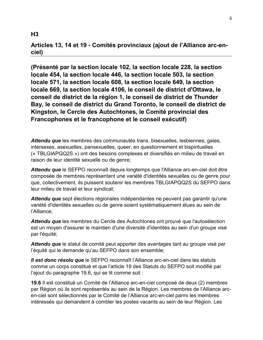## **Articles 13, 14 et 19 - Comités provinciaux (ajout de l'Alliance arc-enciel)**

**(Présenté par la section locale 102, la section locale 228, la section locale 454, la section locale 446, la section locale 503, la section locale 571, la section locale 608, la section locale 649, la section locale 669, la section locale 4106, le conseil de district d'Ottawa, le conseil de district de la région 1, le conseil de district de Thunder Bay, le conseil de district du Grand Toronto, le conseil de district de Kingston, le Cercle des Autochtones, le Comité provincial des Francophones et le francophone et le conseil exécutif)**

*Attendu que* les membres des communautés trans, bisexuelles, lesbiennes, gaies, intersexes, asexuelles, pansexuelles, queer, en questionnement et bispirituelles (« TBLGIAPQQ2S ») ont des besoins complexes et diversifiés en milieu de travail en raison de leur identité sexuelle ou de genre;

*Attendu que* le SEFPO reconnaît depuis longtemps que l'Alliance arc-en-ciel doit être composée de membres représentant une variété d'identités sexuelles ou de genre pour que, collectivement, ils puissent soutenir les membres TBLGIAPQQ2S du SEFPO dans leur milieu de travail et leur syndicat;

*Attendu que* sept élections régionales indépendantes ne peuvent pas garantir qu'une variété d'identités sexuelles ou de genre soient systématiquement élues au sein de l'Alliance;

*Attendu que* les membres du Cercle des Autochtones ont prouvé que l'autosélection est un moyen d'assurer le maintien d'une diversité d'identités au sein d'un groupe visé par l'équité;

*Attendu que* le statut de comité peut apporter des avantages tant au groupe visé par l'équité qui le demande qu'au SEFPO dans son ensemble;

*Il est donc résolu que* le SEFPO reconnaît l'Alliance arc-en-ciel dans les statuts comme un corps constitué et que l'article 19 des Statuts du SEFPO soit modifié par l'ajout du paragraphe 19.6, qui se lit comme suit :

**19.6** Il est constitué un Comité de l'Alliance arc-en-ciel composé de deux (2) membres par Région où ils sont représentés au sein de la Région. Les membres de l'Alliance arcen-ciel sont sélectionnés par le Comité de l'Alliance arc-en-ciel parmi les membres intéressés qui demandent à combler les postes vacants au sein de leur Région. Les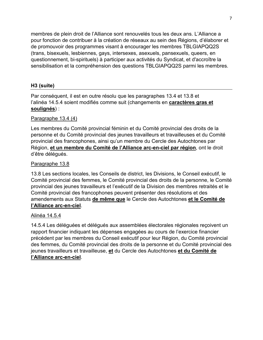membres de plein droit de l'Alliance sont renouvelés tous les deux ans. L'Alliance a pour fonction de contribuer à la création de réseaux au sein des Régions, d'élaborer et de promouvoir des programmes visant à encourager les membres TBLGIAPQQ2S (trans, bisexuels, lesbiennes, gays, intersexes, asexuels, pansexuels, queers, en questionnement, bi-spirituels) à participer aux activités du Syndicat, et d'accroître la sensibilisation et la compréhension des questions TBLGIAPQQ2S parmi les membres.

## **H3 (suite)**

Par conséquent, il est en outre résolu que les paragraphes 13.4 et 13.8 et l'alinéa 14.5.4 soient modifiés comme suit (changements en **caractères gras et soulignés**) :

## Paragraphe 13.4 (4)

Les membres du Comité provincial féminin et du Comité provincial des droits de la personne et du Comité provincial des jeunes travailleurs et travailleuses et du Comité provincial des francophones, ainsi qu'un membre du Cercle des Autochtones par Région, **et un membre du Comité de l'Alliance arc-en-ciel par région**, ont le droit d'être délégués.

## Paragraphe 13.8

13.8 Les sections locales, les Conseils de district, les Divisions, le Conseil exécutif, le Comité provincial des femmes, le Comité provincial des droits de la personne, le Comité provincial des jeunes travailleurs et l'exécutif de la Division des membres retraités et le Comité provincial des francophones peuvent présenter des résolutions et des amendements aux Statuts **de même que** le Cercle des Autochtones **et le Comité de l'Alliance arc-en-ciel**.

### Alinéa 14.5.4

14.5.4 Les déléguées et délégués aux assemblées électorales régionales reçoivent un rapport financier indiquant les dépenses engagées au cours de l'exercice financier précédent par les membres du Conseil exécutif pour leur Région, du Comité provincial des femmes, du Comité provincial des droits de la personne et du Comité provincial des jeunes travailleurs et travailleuse, **et** du Cercle des Autochtones **et du Comité de l'Alliance arc-en-ciel**.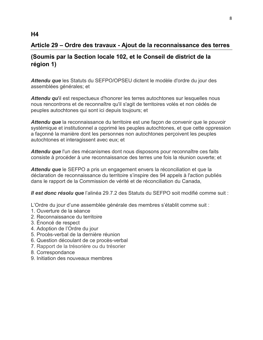# **Article 29 – Ordre des travaux - Ajout de la reconnaissance des terres**

# **(Soumis par la Section locale 102, et le Conseil de district de la région 1)**

*Attendu que* les Statuts du SEFPO/OPSEU dictent le modèle d'ordre du jour des assemblées générales; et

*Attendu qu*'il est respectueux d'honorer les terres autochtones sur lesquelles nous nous rencontrons et de reconnaître qu'il s'agit de territoires volés et non cédés de peuples autochtones qui sont ici depuis toujours; et

*Attendu que* la reconnaissance du territoire est une façon de convenir que le pouvoir systémique et institutionnel a opprimé les peuples autochtones, et que cette oppression a façonné la manière dont les personnes non autochtones perçoivent les peuples autochtones et interagissent avec eux; et

*Attendu que* l'un des mécanismes dont nous disposons pour reconnaître ces faits consiste à procéder à une reconnaissance des terres une fois la réunion ouverte; et

*Attendu que* le SEFPO a pris un engagement envers la réconciliation et que la déclaration de reconnaissance du territoire s'inspire des 94 appels à l'action publiés dans le rapport de la Commission de vérité et de réconciliation du Canada,

*Il est donc résolu que* l'alinéa 29.7.2 des Statuts du SEFPO soit modifié comme suit :

L'Ordre du jour d'une assemblée générale des membres s'établit comme suit :

- 1. Ouverture de la séance
- 2. Reconnaissance du territoire
- 3. Énoncé de respect
- 4. Adoption de l'Ordre du jour
- 5. Procès-verbal de la dernière réunion
- 6. Question découlant de ce procès-verbal
- 7. Rapport de la trésorière ou du trésorier
- 8. Correspondance
- 9. Initiation des nouveaux membres

## **H4**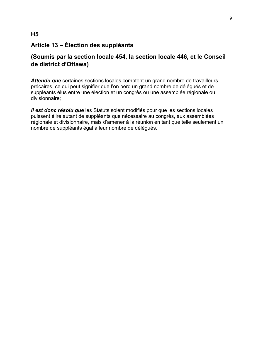# **(Soumis par la section locale 454, la section locale 446, et le Conseil de district d'Ottawa)**

*Attendu que* certaines sections locales comptent un grand nombre de travailleurs précaires, ce qui peut signifier que l'on perd un grand nombre de délégués et de suppléants élus entre une élection et un congrès ou une assemblée régionale ou divisionnaire;

*Il est donc résolu que* les Statuts soient modifiés pour que les sections locales puissent élire autant de suppléants que nécessaire au congrès, aux assemblées régionale et divisionnaire, mais d'amener à la réunion en tant que telle seulement un nombre de suppléants égal à leur nombre de délégués.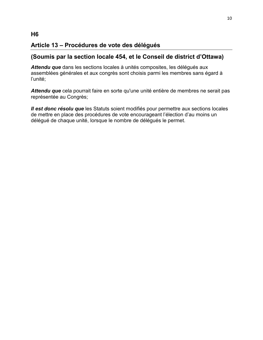# **Article 13 – Procédures de vote des délégués**

## **(Soumis par la section locale 454, et le Conseil de district d'Ottawa)**

*Attendu que* dans les sections locales à unités composites, les délégués aux assemblées générales et aux congrès sont choisis parmi les membres sans égard à l'unité;

*Attendu que* cela pourrait faire en sorte qu'une unité entière de membres ne serait pas représentée au Congrès;

*Il est donc résolu que* les Statuts soient modifiés pour permettre aux sections locales de mettre en place des procédures de vote encourageant l'élection d'au moins un délégué de chaque unité, lorsque le nombre de délégués le permet.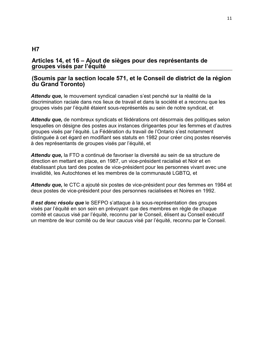## **Articles 14, et 16 – Ajout de sièges pour des représentants de groupes visés par l'équité**

## **(Soumis par la section locale 571, et le Conseil de district de la région du Grand Toronto)**

*Attendu que,* le mouvement syndical canadien s'est penché sur la réalité de la discrimination raciale dans nos lieux de travail et dans la société et a reconnu que les groupes visés par l'équité étaient sous-représentés au sein de notre syndicat, et

*Attendu que,* de nombreux syndicats et fédérations ont désormais des politiques selon lesquelles on désigne des postes aux instances dirigeantes pour les femmes et d'autres groupes visés par l'équité. La Fédération du travail de l'Ontario s'est notamment distinguée à cet égard en modifiant ses statuts en 1982 pour créer cinq postes réservés à des représentants de groupes visés par l'équité, et

*Attendu que,* la FTO a continué de favoriser la diversité au sein de sa structure de direction en mettant en place, en 1987, un vice-président racialisé et Noir et en établissant plus tard des postes de vice-président pour les personnes vivant avec une invalidité, les Autochtones et les membres de la communauté LGBTQ, et

*Attendu que,* le CTC a ajouté six postes de vice-président pour des femmes en 1984 et deux postes de vice-président pour des personnes racialisées et Noires en 1992.

*Il est donc résolu que* le SEFPO s'attaque à la sous-représentation des groupes visés par l'équité en son sein en prévoyant que des membres en règle de chaque comité et caucus visé par l'équité, reconnu par le Conseil, élisent au Conseil exécutif un membre de leur comité ou de leur caucus visé par l'équité, reconnu par le Conseil.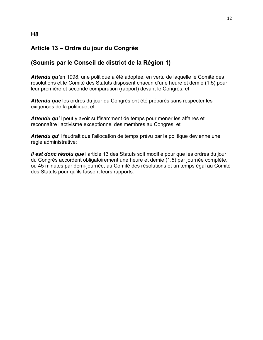# **Article 13 – Ordre du jour du Congrès**

## **(Soumis par le Conseil de district de la Région 1)**

*Attendu qu'*en 1998, une politique a été adoptée, en vertu de laquelle le Comité des résolutions et le Comité des Statuts disposent chacun d'une heure et demie (1,5) pour leur première et seconde comparution (rapport) devant le Congrès; et

*Attendu que* les ordres du jour du Congrès ont été préparés sans respecter les exigences de la politique; et

*Attendu qu'*il peut y avoir suffisamment de temps pour mener les affaires et reconnaître l'activisme exceptionnel des membres au Congrès, et

*Attendu qu***'**il faudrait que l'allocation de temps prévu par la politique devienne une règle administrative;

*Il est donc résolu que* l'article 13 des Statuts soit modifié pour que les ordres du jour du Congrès accordent obligatoirement une heure et demie (1,5) par journée complète, ou 45 minutes par demi-journée, au Comité des résolutions et un temps égal au Comité des Statuts pour qu'ils fassent leurs rapports.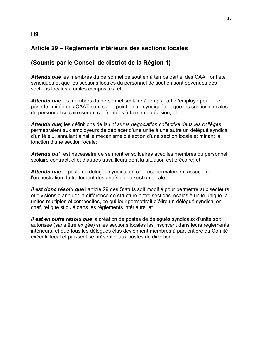## **Article 29 – Règlements intérieurs des sections locales**

## **(Soumis par le Conseil de district de la Région 1)**

*Attendu que* les membres du personnel de soutien à temps partiel des CAAT ont été syndiqués et que les sections locales du personnel de soutien sont devenues des sections locales à unités composites; et

*Attendu que* les membres du personnel scolaire à temps partiel/employé pour une période limitée des CAAT sont sur le point d'être syndiqués et que les sections locales du personnel scolaire seront confrontées à la même décision; et

*Attendu que*; les définitions de la *Loi sur la négociation collective dans les collèges* permettraient aux employeurs de déplacer d'une unité à une autre un délégué syndical d'unité élu, annulant ainsi le mécanisme d'élection d'une section locale et minant la fonction d'une section locale;

*Attendu qu'*il est nécessaire de se montrer solidaires avec les membres du personnel scolaire contractuel et d'autres travailleurs dont la situation est précaire; et

*Attendu que* le poste de délégué syndical en chef est normalement associé à l'orchestration du traitement des griefs d'une section locale;

*Il est donc résolu que* l'article 29 des Statuts soit modifié pour permettre aux secteurs et divisions d'annuler la différence de structure entre sections locales à unité unique, à unités multiples et composites, ce qui leur permettrait d'élire un délégué syndical en chef, tel que stipulé dans les règlements intérieurs; et

*Il est en outre résolu que* la création de postes de délégués syndicaux d'unité soit autorisée (sans être exigée) si les sections locales les inscrivent dans leurs règlements intérieurs, et que tous les délégués élus deviennent membres à part entière du Comité exécutif local et puissent se présenter aux postes de direction.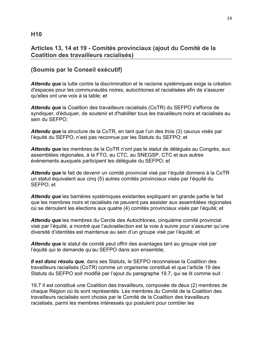## **Articles 13, 14 et 19 - Comités provinciaux (ajout du Comité de la Coalition des travailleurs racialisés)**

# **(Soumis par le Conseil exécutif)**

*Attendu que* la lutte contre la discrimination et le racisme systémiques exige la création d'espaces pour les communautés noires, autochtones et racialisées afin de s'assurer qu'elles ont une voix à la table; et

*Attendu que* la Coalition des travailleurs racialisés (CoTR) du SEFPO s'efforce de syndiquer, d'éduquer, de soutenir et d'habiliter tous les travailleurs noirs et racialisés au sein du SEFPO;

*Attendu que* la structure de la CoTR, en tant que l'un des trois (3) caucus visés par l'équité du SEFPO, n'est pas reconnue par les Statuts du SEFPO; et

*Attendu que* les membres de la CoTR n'ont pas le statut de délégués au Congrès, aux assemblées régionales, à la FTO, au CTC, au SNEGSP, CTC et aux autres événements auxquels participent les délégués du SEFPO; et

*Attendu que* le fait de devenir un comité provincial visé par l'équité donnera à la CoTR un statut équivalent aux cinq (5) autres comités provinciaux visés par l'équité du SEFPO; et

*Attendu que* les barrières systémiques existantes expliquent en grande partie le fait que les membres noirs et racialisés ne peuvent pas assister aux assemblées régionales où se déroulent les élections aux quatre (4) comités provinciaux visés par l'équité; et

*Attendu que* les membres du Cercle des Autochtones, cinquième comité provincial visé par l'équité, a montré que l'autosélection est la voie à suivre pour s'assurer qu'une diversité d'identités est maintenue au sein d'un groupe visé par l'équité; et

*Attendu que* le statut de comité peut offrir des avantages tant au groupe visé par l'équité qui le demande qu'au SEFPO dans son ensemble;

*Il est donc résolu que*, dans ses Statuts, le SEFPO reconnaisse la Coalition des travailleurs racialisés (CoTR) comme un organisme constitué et que l'article 19 des Statuts du SEFPO soit modifié par l'ajout du paragraphe 19.7, qui se lit comme suit :

19.7 Il est constitué une Coalition des travailleurs, composée de deux (2) membres de chaque Région où ils sont représentés. Les membres du Comité de la Coalition des travailleurs racialisés sont choisis par le Comité de la Coalition des travailleurs racialisés, parmi les membres intéressés qui postulent pour combler les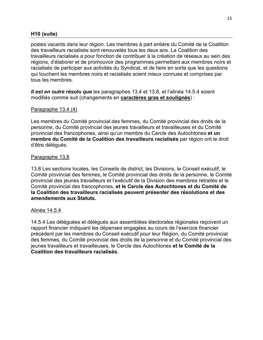### **H10 (suite)**

postes vacants dans leur région. Les membres à part entière du Comité de la Coalition des travailleurs racialisés sont renouvelés tous les deux ans. La Coalition des travailleurs racialisés a pour fonction de contribuer à la création de réseaux au sein des régions, d'élaborer et de promouvoir des programmes permettant aux membres noirs et racialisés de participer aux activités du Syndicat, et de faire en sorte que les questions qui touchent les membres noirs et racialisés soient mieux connues et comprises par tous les membres.

*Il est en outre résolu que* les paragraphes 13.4 et 13.8, et l'alinéa 14.5.4 soient modifiés comme suit (changements en **caractères gras et soulignés**) :

### Paragraphe 13.4 (4)

Les membres du Comité provincial des femmes, du Comité provincial des droits de la personne, du Comité provincial des jeunes travailleurs et travailleuses et du Comité provincial des francophones, ainsi qu'un membre du Cercle des Autochtones **et un membre du Comité de la Coalition des travailleurs racialisés** par région ont le droit d'être délégués.

### Paragraphe 13.8

13.8 Les sections locales, les Conseils de district, les Divisions, le Conseil exécutif, le Comité provincial des femmes, le Comité provincial des droits de la personne, le Comité provincial des jeunes travailleurs et l'exécutif de la Division des membres retraités et le Comité provincial des francophones, **et le Cercle des Autochtones et du Comité de la Coalition des travailleurs racialisés peuvent présenter des résolutions et des amendements aux Statuts.** 

#### Alinéa 14.5.4

14.5.4 Les déléguées et délégués aux assemblées électorales régionales reçoivent un rapport financier indiquant les dépenses engagées au cours de l'exercice financier précédent par les membres du Conseil exécutif pour leur Région, du Comité provincial des femmes, du Comité provincial des droits de la personne et du Comité provincial des jeunes travailleurs et travailleuses, le Cercle des Autochtones **et le Comité de la Coalition des travailleurs racialisés**.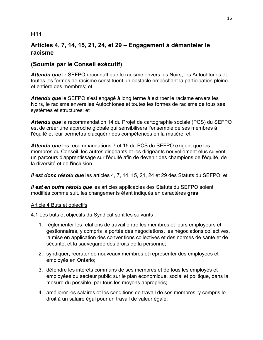## **H11**

# **Articles 4, 7, 14, 15, 21, 24, et 29 – Engagement à démanteler le racisme**

# **(Soumis par le Conseil exécutif)**

*Attendu que* le SEFPO reconnaît que le racisme envers les Noirs, les Autochtones et toutes les formes de racisme constituent un obstacle empêchant la participation pleine et entière des membres; et

Attendu que le SEFPO s'est engagé à long terme à extirper le racisme envers les Noirs, le racisme envers les Autochtones et toutes les formes de racisme de tous ses systèmes et structures; et

*Attendu que* la recommandation 14 du Projet de cartographie sociale (PCS) du SEFPO est de créer une approche globale qui sensibilisera l'ensemble de ses membres à l'équité et leur permettra d'acquérir des compétences en la matière; et

*Attendu que* les recommandations 7 et 15 du PCS du SEFPO exigent que les membres du Conseil, les autres dirigeants et les dirigeants nouvellement élus suivent un parcours d'apprentissage sur l'équité afin de devenir des champions de l'équité, de la diversité et de l'inclusion.

*Il est donc résolu que* les articles 4, 7, 14, 15, 21, 24 et 29 des Statuts du SEFPO; et

*Il est en outre résolu que* les articles applicables des Statuts du SEFPO soient modifiés comme suit, les changements étant indiqués en caractères **gras**.

### Article 4 Buts et objectifs

4.1 Les buts et objectifs du Syndicat sont les suivants :

- 1. réglementer les relations de travail entre les membres et leurs employeurs et gestionnaires, y compris la portée des négociations, les négociations collectives, la mise en application des conventions collectives et des normes de santé et de sécurité, et la sauvegarde des droits de la personne;
- 2. syndiquer, recruter de nouveaux membres et représenter des employées et employés en Ontario;
- 3. défendre les intérêts communs de ses membres et de tous les employés et employées du secteur public sur le plan économique, social et politique, dans la mesure du possible, par tous les moyens appropriés;
- 4. améliorer les salaires et les conditions de travail de ses membres, y compris le droit à un salaire égal pour un travail de valeur égale;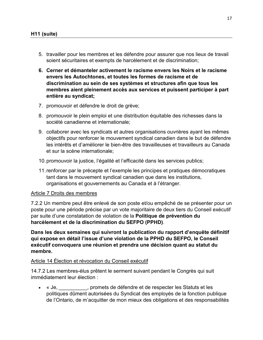- 5. travailler pour les membres et les défendre pour assurer que nos lieux de travail soient sécuritaires et exempts de harcèlement et de discrimination;
- **6. Cerner et démanteler activement le racisme envers les Noirs et le racisme envers les Autochtones, et toutes les formes de racisme et de discrimination au sein de ses systèmes et structures afin que tous les membres aient pleinement accès aux services et puissent participer à part entière au syndicat;**
- 7. promouvoir et défendre le droit de grève;
- 8. promouvoir le plein emploi et une distribution équitable des richesses dans la société canadienne et internationale;
- 9. collaborer avec les syndicats et autres organisations ouvrières ayant les mêmes objectifs pour renforcer le mouvement syndical canadien dans le but de défendre les intérêts et d'améliorer le bien-être des travailleuses et travailleurs au Canada et sur la scène internationale;
- 10.promouvoir la justice, l'égalité et l'efficacité dans les services publics;
- 11.renforcer par le précepte et l'exemple les principes et pratiques démocratiques tant dans le mouvement syndical canadien que dans les institutions, organisations et gouvernements au Canada et à l'étranger.

#### Article 7 Droits des membres

7.2.2 Un membre peut être enlevé de son poste et/ou empêché de se présenter pour un poste pour une période précise par un vote majoritaire de deux tiers du Conseil exécutif par suite d'une constatation de violation de la **Politique de prévention du harcèlement et de la discrimination du SEFPO (PPHD)**.

**Dans les deux semaines qui suivront la publication du rapport d'enquête définitif qui expose en détail l'issue d'une violation de la PPHD du SEFPO, le Conseil exécutif convoquera une réunion et prendra une décision quant au statut du membre.**

#### Article 14 Élection et révocation du Conseil exécutif

14.7.2 Les membres-élus prêtent le serment suivant pendant le Congrès qui suit immédiatement leur élection :

• « Je, \_\_\_\_\_\_\_\_\_\_, promets de défendre et de respecter les Statuts et les politiques dûment autorisées du Syndicat des employés de la fonction publique de l'Ontario, de m'acquitter de mon mieux des obligations et des responsabilités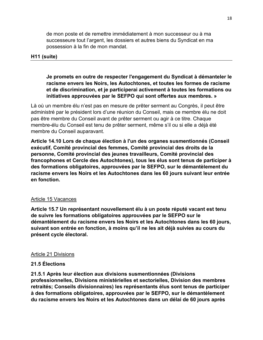de mon poste et de remettre immédiatement à mon successeur ou à ma successeure tout l'argent, les dossiers et autres biens du Syndicat en ma possession à la fin de mon mandat.

## **H11 (suite)**

**Je promets en outre de respecter l'engagement du Syndicat à démanteler le racisme envers les Noirs, les Autochtones, et toutes les formes de racisme et de discrimination, et je participerai activement à toutes les formations ou initiatives approuvées par le SEFPO qui sont offertes aux membres. »** 

Là où un membre élu n'est pas en mesure de prêter serment au Congrès, il peut être administré par le président lors d'une réunion du Conseil, mais ce membre élu ne doit pas être membre du Conseil avant de prêter serment ou agir à ce titre. Chaque membre-élu du Conseil est tenu de prêter serment, même s'il ou si elle a déjà été membre du Conseil auparavant.

**Article 14.10 Lors de chaque élection à l'un des organes susmentionnés (Conseil exécutif, Comité provincial des femmes, Comité provincial des droits de la personne, Comité provincial des jeunes travailleurs, Comité provincial des francophones et Cercle des Autochtones), tous les élus sont tenus de participer à des formations obligatoires, approuvées par le SEFPO, sur le démantèlement du racisme envers les Noirs et les Autochtones dans les 60 jours suivant leur entrée en fonction.** 

### Article 15 Vacances

**Article 15.7 Un représentant nouvellement élu à un poste réputé vacant est tenu de suivre les formations obligatoires approuvées par le SEFPO sur le démantèlement du racisme envers les Noirs et les Autochtones dans les 60 jours, suivant son entrée en fonction, à moins qu'il ne les ait déjà suivies au cours du présent cycle électoral.** 

#### Article 21 Divisions

### **21.5 Élections**

**21.5.1 Après leur élection aux divisions susmentionnées (Divisions professionnelles, Divisions ministérielles et sectorielles, Division des membres retraités; Conseils divisionnaires) les représentants élus sont tenus de participer à des formations obligatoires, approuvées par le SEFPO, sur le démantèlement du racisme envers les Noirs et les Autochtones dans un délai de 60 jours après**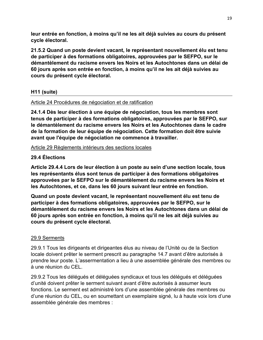**leur entrée en fonction, à moins qu'il ne les ait déjà suivies au cours du présent cycle électoral.**

**21.5.2 Quand un poste devient vacant, le représentant nouvellement élu est tenu de participer à des formations obligatoires, approuvées par le SEFPO, sur le démantèlement du racisme envers les Noirs et les Autochtones dans un délai de 60 jours après son entrée en fonction, à moins qu'il ne les ait déjà suivies au cours du présent cycle électoral.** 

## **H11 (suite)**

## Article 24 Procédures de négociation et de ratification

**24.1.4 Dès leur élection à une équipe de négociation, tous les membres sont tenus de participer à des formations obligatoires, approuvées par le SEFPO, sur le démantèlement du racisme envers les Noirs et les Autochtones dans le cadre de la formation de leur équipe de négociation. Cette formation doit être suivie avant que l'équipe de négociation ne commence à travailler.** 

Article 29 Règlements intérieurs des sections locales

## **29.4 Élections**

**Article 29.4.4 Lors de leur élection à un poste au sein d'une section locale, tous les représentants élus sont tenus de participer à des formations obligatoires approuvées par le SEFPO sur le démantèlement du racisme envers les Noirs et les Autochtones, et ce, dans les 60 jours suivant leur entrée en fonction.** 

**Quand un poste devient vacant, le représentant nouvellement élu est tenu de participer à des formations obligatoires, approuvées par le SEFPO, sur le démantèlement du racisme envers les Noirs et les Autochtones dans un délai de 60 jours après son entrée en fonction, à moins qu'il ne les ait déjà suivies au cours du présent cycle électoral.**

## 29.9 Serments

29.9.1 Tous les dirigeants et dirigeantes élus au niveau de l'Unité ou de la Section locale doivent prêter le serment prescrit au paragraphe 14.7 avant d'être autorisés à prendre leur poste. L'assermentation a lieu à une assemblée générale des membres ou à une réunion du CEL.

29.9.2 Tous les délégués et déléguées syndicaux et tous les délégués et déléguées d'unité doivent prêter le serment suivant avant d'être autorisés à assumer leurs fonctions. Le serment est administré lors d'une assemblée générale des membres ou d'une réunion du CEL, ou en soumettant un exemplaire signé, lu à haute voix lors d'une assemblée générale des membres :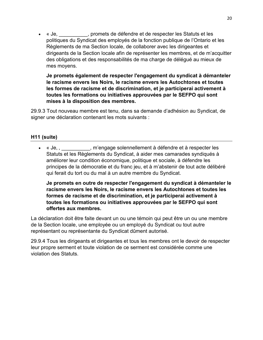• « Je, \_\_\_\_\_\_\_\_\_\_, promets de défendre et de respecter les Statuts et les politiques du Syndicat des employés de la fonction publique de l'Ontario et les Règlements de ma Section locale, de collaborer avec les dirigeantes et dirigeants de la Section locale afin de représenter les membres, et de m'acquitter des obligations et des responsabilités de ma charge de délégué au mieux de mes moyens.

**Je promets également de respecter l'engagement du syndicat à démanteler le racisme envers les Noirs, le racisme envers les Autochtones et toutes les formes de racisme et de discrimination, et je participerai activement à toutes les formations ou initiatives approuvées par le SEFPO qui sont mises à la disposition des membres.**

29.9.3 Tout nouveau membre est tenu, dans sa demande d'adhésion au Syndicat, de signer une déclaration contenant les mots suivants :

## **H11 (suite)**

• « Je,, m'engage solennellement à défendre et à respecter les Statuts et les Règlements du Syndicat, à aider mes camarades syndiqués à améliorer leur condition économique, politique et sociale, à défendre les principes de la démocratie et du franc jeu, et à m'abstenir de tout acte délibéré qui ferait du tort ou du mal à un autre membre du Syndicat.

**Je promets en outre de respecter l'engagement du syndicat à démanteler le racisme envers les Noirs, le racisme envers les Autochtones et toutes les formes de racisme et de discrimination, et je participerai activement à toutes les formations ou initiatives approuvées par le SEFPO qui sont offertes aux membres.** 

La déclaration doit être faite devant un ou une témoin qui peut être un ou une membre de la Section locale, une employée ou un employé du Syndicat ou tout autre représentant ou représentante du Syndicat dûment autorisé.

29.9.4 Tous les dirigeants et dirigeantes et tous les membres ont le devoir de respecter leur propre serment et toute violation de ce serment est considérée comme une violation des Statuts.